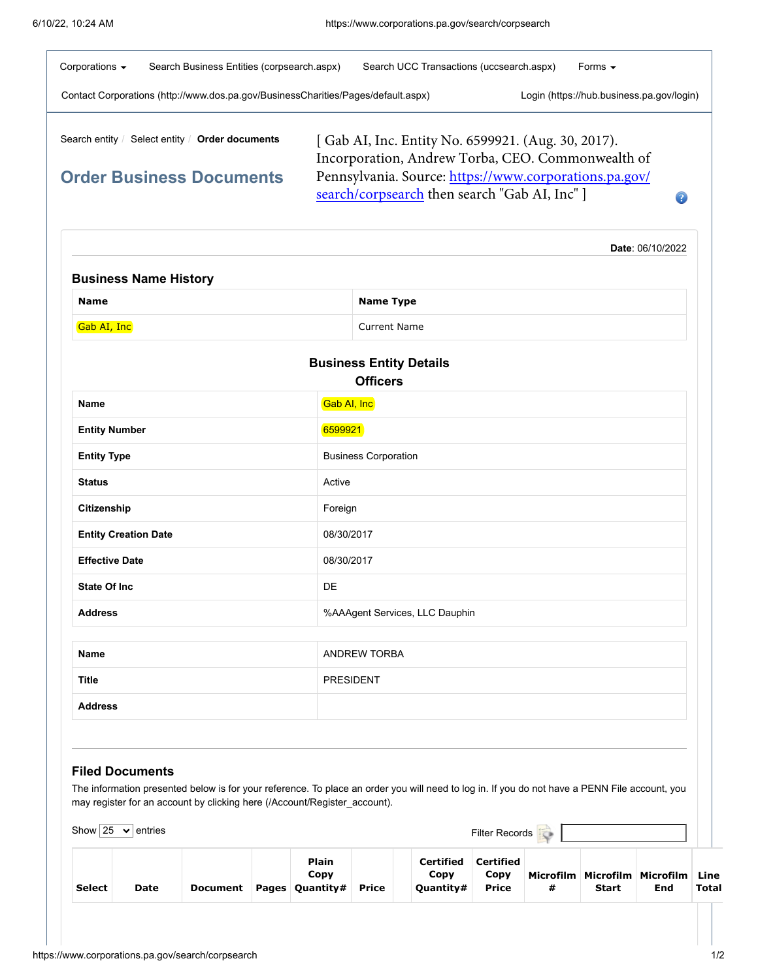| Corporations $\blacktriangleright$<br>Search Business Entities (corpsearch.aspx)  | Search UCC Transactions (uccsearch.aspx)                                                                | Forms $\blacktriangleright$               |
|-----------------------------------------------------------------------------------|---------------------------------------------------------------------------------------------------------|-------------------------------------------|
| Contact Corporations (http://www.dos.pa.gov/BusinessCharities/Pages/default.aspx) |                                                                                                         | Login (https://hub.business.pa.gov/login) |
| Select entity / Order documents<br>Search entity /                                | [Gab AI, Inc. Entity No. 6599921. (Aug. 30, 2017).<br>Incorporation, Andrew Torba, CEO. Commonwealth of |                                           |
| <b>Order Business Documents</b>                                                   | Pennsylvania. Source: https://www.corporations.pa.gov/<br>search/corpsearch then search "Gab AI, Inc" ] |                                           |
|                                                                                   |                                                                                                         | Date: 06/10/2022                          |
| <b>Business Name History</b>                                                      |                                                                                                         |                                           |

| <b>Name</b> | <b>Name Type</b>    |
|-------------|---------------------|
| Gab AI, Inc | <b>Current Name</b> |

| <b>Business Entity Details</b><br><b>Officers</b> |                                |  |  |  |  |
|---------------------------------------------------|--------------------------------|--|--|--|--|
| <b>Name</b>                                       | Gab AI, Inc                    |  |  |  |  |
| <b>Entity Number</b>                              | 6599921                        |  |  |  |  |
| <b>Entity Type</b>                                | <b>Business Corporation</b>    |  |  |  |  |
| <b>Status</b>                                     | Active                         |  |  |  |  |
| Citizenship                                       | Foreign                        |  |  |  |  |
| <b>Entity Creation Date</b>                       | 08/30/2017                     |  |  |  |  |
| <b>Effective Date</b>                             | 08/30/2017                     |  |  |  |  |
| <b>State Of Inc.</b>                              | DE                             |  |  |  |  |
| <b>Address</b>                                    | %AAAgent Services, LLC Dauphin |  |  |  |  |
|                                                   |                                |  |  |  |  |
| <b>Name</b>                                       | <b>ANDREW TORBA</b>            |  |  |  |  |
| <b>Title</b>                                      | <b>PRESIDENT</b>               |  |  |  |  |
| <b>Address</b>                                    |                                |  |  |  |  |
|                                                   |                                |  |  |  |  |

## **Filed Documents**

The information presented below is for your reference. To place an order you will need to log in. If you do not have a PENN File account, you may register for an account by [clicking here \(/Account/Register\\_account\)](https://www.corporations.pa.gov/Account/Register_account).

| Show $25$     | $\mathbf{\times}$ entries |          |                                           |       |                                | <b>Filter Records</b>             |   |              |                                                 |       |
|---------------|---------------------------|----------|-------------------------------------------|-------|--------------------------------|-----------------------------------|---|--------------|-------------------------------------------------|-------|
| <b>Select</b> | Date                      | Document | <b>Plain</b><br>Copy<br>Pages   Quantity# | Price | Certified<br>Copy<br>Quantity# | Certified<br>Copy<br><b>Price</b> | # | <b>Start</b> | Microfilm   Microfilm   Microfilm   Line<br>End | Total |